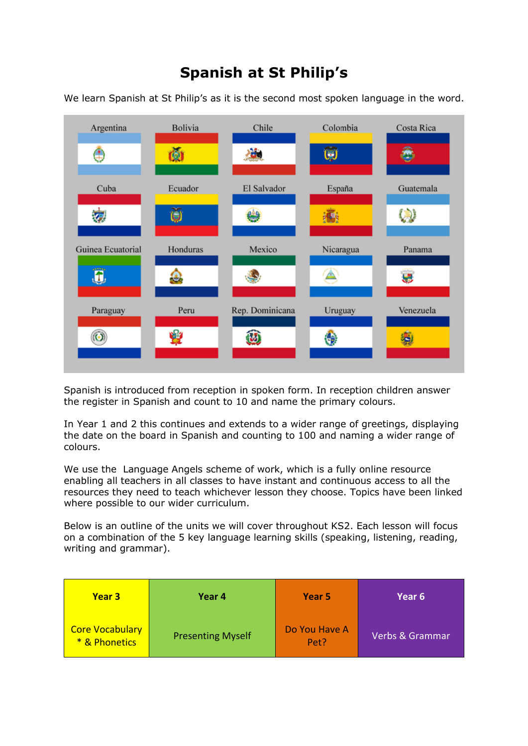## **Spanish at St Philip's**

We learn Spanish at St Philip's as it is the second most spoken language in the word.



Spanish is introduced from reception in spoken form. In reception children answer the register in Spanish and count to 10 and name the primary colours.

In Year 1 and 2 this continues and extends to a wider range of greetings, displaying the date on the board in Spanish and counting to 100 and naming a wider range of colours.

We use the Language Angels scheme of work, which is a fully online resource enabling all teachers in all classes to have instant and continuous access to all the resources they need to teach whichever lesson they choose. Topics have been linked where possible to our wider curriculum.

Below is an outline of the units we will cover throughout KS2. Each lesson will focus on a combination of the 5 key language learning skills (speaking, listening, reading, writing and grammar).

| <b>Year 3</b>                           | Year 4                   | Year 5                | Year 6          |
|-----------------------------------------|--------------------------|-----------------------|-----------------|
| <b>Core Vocabulary</b><br>* & Phonetics | <b>Presenting Myself</b> | Do You Have A<br>Pet? | Verbs & Grammar |